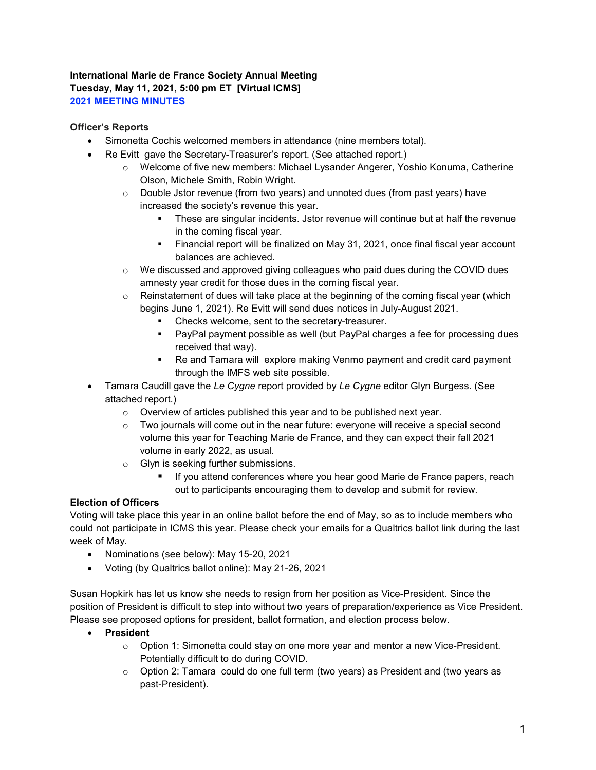# International Marie de France Society Annual Meeting Tuesday, May 11, 2021, 5:00 pm ET [Virtual ICMS] 2021 MEETING MINUTES

### Officer's Reports

- Simonetta Cochis welcomed members in attendance (nine members total).
- Re Evitt gave the Secretary-Treasurer's report. (See attached report.)
	- o Welcome of five new members: Michael Lysander Angerer, Yoshio Konuma, Catherine Olson, Michele Smith, Robin Wright.
	- o Double Jstor revenue (from two years) and unnoted dues (from past years) have increased the society's revenue this year.
		- These are singular incidents. Jstor revenue will continue but at half the revenue in the coming fiscal year.
		- Financial report will be finalized on May 31, 2021, once final fiscal year account balances are achieved.
	- $\circ$  We discussed and approved giving colleagues who paid dues during the COVID dues amnesty year credit for those dues in the coming fiscal year.
	- $\circ$  Reinstatement of dues will take place at the beginning of the coming fiscal year (which begins June 1, 2021). Re Evitt will send dues notices in July-August 2021.
		- Checks welcome, sent to the secretary-treasurer.
		- PayPal payment possible as well (but PayPal charges a fee for processing dues received that way).
		- Re and Tamara will explore making Venmo payment and credit card payment through the IMFS web site possible.
- Tamara Caudill gave the Le Cygne report provided by Le Cygne editor Glyn Burgess. (See attached report.)
	- o Overview of articles published this year and to be published next year.
	- $\circ$  Two journals will come out in the near future: everyone will receive a special second volume this year for Teaching Marie de France, and they can expect their fall 2021 volume in early 2022, as usual.
	- o Glyn is seeking further submissions.
		- If you attend conferences where you hear good Marie de France papers, reach out to participants encouraging them to develop and submit for review.

# Election of Officers

Voting will take place this year in an online ballot before the end of May, so as to include members who could not participate in ICMS this year. Please check your emails for a Qualtrics ballot link during the last week of May.

- Nominations (see below): May 15-20, 2021
- Voting (by Qualtrics ballot online): May 21-26, 2021

Susan Hopkirk has let us know she needs to resign from her position as Vice-President. Since the position of President is difficult to step into without two years of preparation/experience as Vice President. Please see proposed options for president, ballot formation, and election process below.

#### President

- $\circ$  Option 1: Simonetta could stay on one more year and mentor a new Vice-President. Potentially difficult to do during COVID.
- $\circ$  Option 2: Tamara could do one full term (two years) as President and (two years as past-President).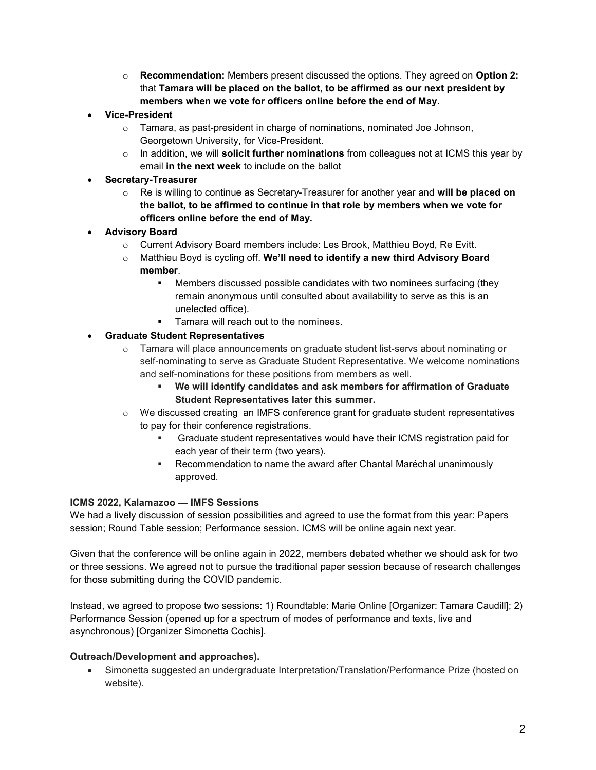- $\circ$  Recommendation: Members present discussed the options. They agreed on Option 2: that Tamara will be placed on the ballot, to be affirmed as our next president by members when we vote for officers online before the end of May.
- Vice-President
	- $\circ$  Tamara, as past-president in charge of nominations, nominated Joe Johnson, Georgetown University, for Vice-President.
	- $\circ$  In addition, we will **solicit further nominations** from colleagues not at ICMS this year by email in the next week to include on the ballot
- Secretary-Treasurer
	- $\circ$  Re is willing to continue as Secretary-Treasurer for another year and will be placed on the ballot, to be affirmed to continue in that role by members when we vote for officers online before the end of May.
- Advisory Board
	- o Current Advisory Board members include: Les Brook, Matthieu Boyd, Re Evitt.
	- $\circ$  Matthieu Boyd is cycling off. We'll need to identify a new third Advisory Board member.
		- Members discussed possible candidates with two nominees surfacing (they remain anonymous until consulted about availability to serve as this is an unelected office).
		- **Tamara will reach out to the nominees.**

#### Graduate Student Representatives

- $\circ$  Tamara will place announcements on graduate student list-servs about nominating or self-nominating to serve as Graduate Student Representative. We welcome nominations and self-nominations for these positions from members as well.
	- We will identify candidates and ask members for affirmation of Graduate Student Representatives later this summer.
- $\circ$  We discussed creating an IMFS conference grant for graduate student representatives to pay for their conference registrations.
	- Graduate student representatives would have their ICMS registration paid for each year of their term (two years).
	- Recommendation to name the award after Chantal Maréchal unanimously approved.

#### ICMS 2022, Kalamazoo — IMFS Sessions

We had a lively discussion of session possibilities and agreed to use the format from this year: Papers session; Round Table session; Performance session. ICMS will be online again next year.

Given that the conference will be online again in 2022, members debated whether we should ask for two or three sessions. We agreed not to pursue the traditional paper session because of research challenges for those submitting during the COVID pandemic.

Instead, we agreed to propose two sessions: 1) Roundtable: Marie Online [Organizer: Tamara Caudill]; 2) Performance Session (opened up for a spectrum of modes of performance and texts, live and asynchronous) [Organizer Simonetta Cochis].

#### Outreach/Development and approaches).

 Simonetta suggested an undergraduate Interpretation/Translation/Performance Prize (hosted on website).